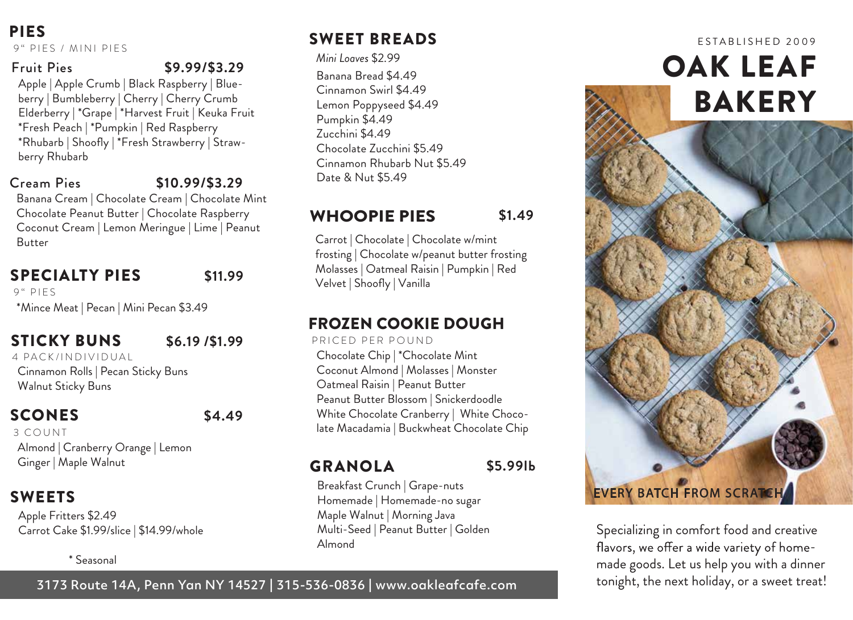PIES 9" PIES / MINI PIES

#### Fruit Pies **\$9.99/\$3.29**

Apple | Apple Crumb | Black Raspberry | Blueberry | Bumbleberry | Cherry | Cherry Crumb Elderberry | \*Grape | \*Harvest Fruit | Keuka Fruit \*Fresh Peach | \*Pumpkin | Red Raspberry \*Rhubarb | Shoofly | \*Fresh Strawberry | Strawberry Rhubarb

#### Cream Pies

#### **\$10.99/\$3.29**

Banana Cream | Chocolate Cream | Chocolate Mint Chocolate Peanut Butter | Chocolate Raspberry Coconut Cream | Lemon Meringue | Lime | Peanut Butter

#### SPECIALTY PIES

**\$11.99**

9" PIFS

\*Mince Meat | Pecan | Mini Pecan \$3.49

#### STICKY BUNS

#### **\$6.19 /\$1.99**

Cinnamon Rolls | Pecan Sticky Buns Walnut Sticky Buns 4 PACK/INDIVIDUAL

#### **SCONES**

#### **\$4.49**

Almond | Cranberry Orange | Lemon Ginger | Maple Walnut 3 COUNT

#### SWEETS

Apple Fritters \$2.49 Carrot Cake \$1.99/slice | \$14.99/whole

#### \* Seasonal

#### 3173 Route 14A, Penn Yan NY 14527 | 315-536-0836 | www.oakleafcafe.com

### SWEET BREADS

*Mini Loaves* \$2.99 Banana Bread \$4.49 Cinnamon Swirl \$4.49 Lemon Poppyseed \$4.49 Pumpkin \$4.49 Zucchini \$4.49 Chocolate Zucchini \$5.49 Cinnamon Rhubarb Nut \$5.49 Date & Nut \$5.49

#### WHOOPIE PIES **\$1.49**

Carrot | Chocolate | Chocolate w/mint frosting | Chocolate w/peanut butter frosting Molasses | Oatmeal Raisin | Pumpkin | Red Velvet | Shoofly | Vanilla

#### FROZEN COOKIE DOUGH

Chocolate Chip | \*Chocolate Mint Coconut Almond | Molasses | Monster Oatmeal Raisin | Peanut Butter Peanut Butter Blossom | Snickerdoodle White Chocolate Cranberry | White Chocolate Macadamia | Buckwheat Chocolate Chip PRICED PER POUND

#### GRANOLA

**\$5.99lb**

Breakfast Crunch | Grape-nuts Homemade | Homemade-no sugar Maple Walnut | Morning Java Multi-Seed | Peanut Butter | Golden Almond

# BAKERY

OAK LEAF

E STABLISHED 2009

EVERY BATCH FROM SCRATCH

Specializing in comfort food and creative flavors, we offer a wide variety of homemade goods. Let us help you with a dinner tonight, the next holiday, or a sweet treat!